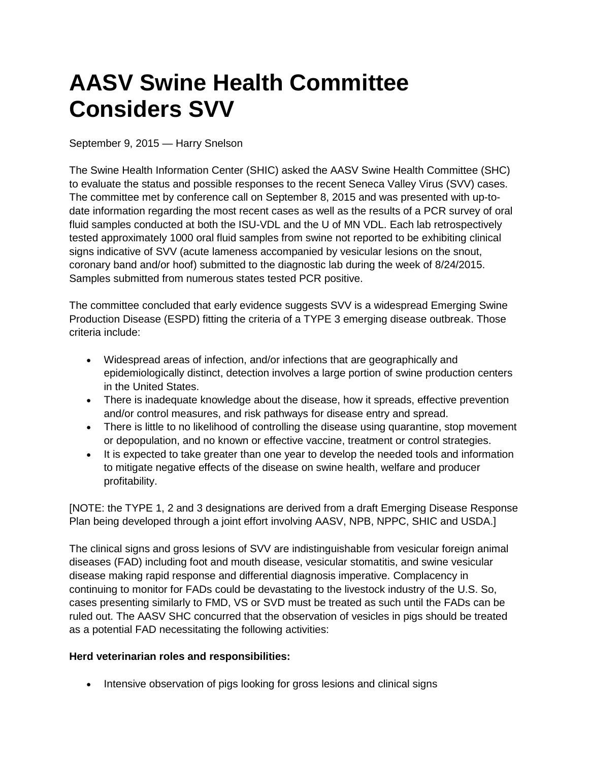## **AASV Swine Health Committee Considers SVV**

September 9, 2015 — Harry Snelson

The Swine Health Information Center (SHIC) asked the AASV Swine Health Committee (SHC) to evaluate the status and possible responses to the recent Seneca Valley Virus (SVV) cases. The committee met by conference call on September 8, 2015 and was presented with up-todate information regarding the most recent cases as well as the results of a PCR survey of oral fluid samples conducted at both the ISU-VDL and the U of MN VDL. Each lab retrospectively tested approximately 1000 oral fluid samples from swine not reported to be exhibiting clinical signs indicative of SVV (acute lameness accompanied by vesicular lesions on the snout, coronary band and/or hoof) submitted to the diagnostic lab during the week of 8/24/2015. Samples submitted from numerous states tested PCR positive.

The committee concluded that early evidence suggests SVV is a widespread Emerging Swine Production Disease (ESPD) fitting the criteria of a TYPE 3 emerging disease outbreak. Those criteria include:

- Widespread areas of infection, and/or infections that are geographically and epidemiologically distinct, detection involves a large portion of swine production centers in the United States.
- There is inadequate knowledge about the disease, how it spreads, effective prevention and/or control measures, and risk pathways for disease entry and spread.
- There is little to no likelihood of controlling the disease using quarantine, stop movement or depopulation, and no known or effective vaccine, treatment or control strategies.
- It is expected to take greater than one year to develop the needed tools and information to mitigate negative effects of the disease on swine health, welfare and producer profitability.

[NOTE: the TYPE 1, 2 and 3 designations are derived from a draft Emerging Disease Response Plan being developed through a joint effort involving AASV, NPB, NPPC, SHIC and USDA.]

The clinical signs and gross lesions of SVV are indistinguishable from vesicular foreign animal diseases (FAD) including foot and mouth disease, vesicular stomatitis, and swine vesicular disease making rapid response and differential diagnosis imperative. Complacency in continuing to monitor for FADs could be devastating to the livestock industry of the U.S. So, cases presenting similarly to FMD, VS or SVD must be treated as such until the FADs can be ruled out. The AASV SHC concurred that the observation of vesicles in pigs should be treated as a potential FAD necessitating the following activities:

## **Herd veterinarian roles and responsibilities:**

• Intensive observation of pigs looking for gross lesions and clinical signs